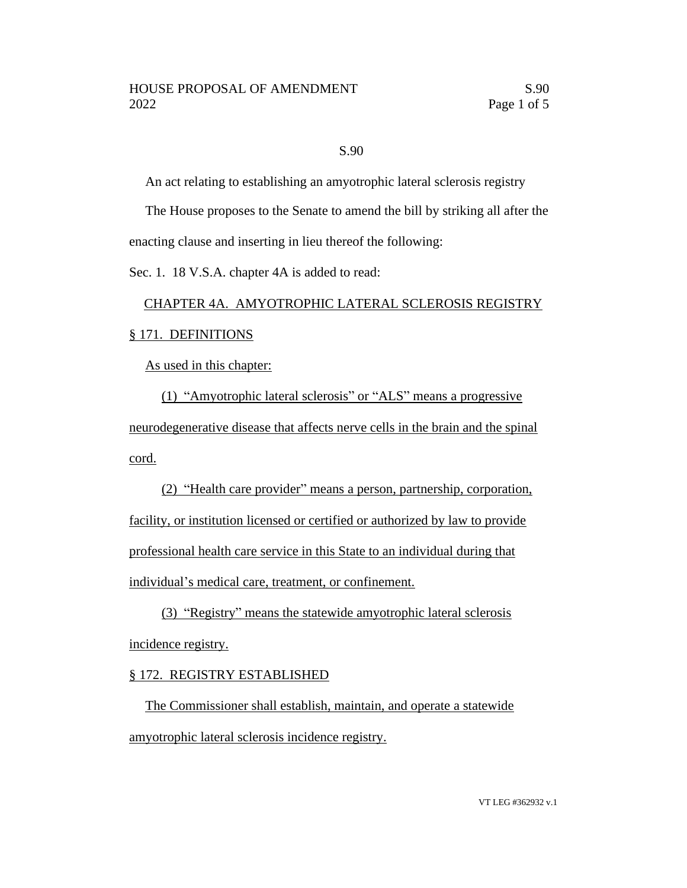### S.90

An act relating to establishing an amyotrophic lateral sclerosis registry

The House proposes to the Senate to amend the bill by striking all after the enacting clause and inserting in lieu thereof the following:

Sec. 1. 18 V.S.A. chapter 4A is added to read:

# CHAPTER 4A. AMYOTROPHIC LATERAL SCLEROSIS REGISTRY § 171. DEFINITIONS

As used in this chapter:

(1) "Amyotrophic lateral sclerosis" or "ALS" means a progressive neurodegenerative disease that affects nerve cells in the brain and the spinal cord.

(2) "Health care provider" means a person, partnership, corporation, facility, or institution licensed or certified or authorized by law to provide professional health care service in this State to an individual during that individual's medical care, treatment, or confinement.

(3) "Registry" means the statewide amyotrophic lateral sclerosis incidence registry.

#### § 172. REGISTRY ESTABLISHED

The Commissioner shall establish, maintain, and operate a statewide amyotrophic lateral sclerosis incidence registry.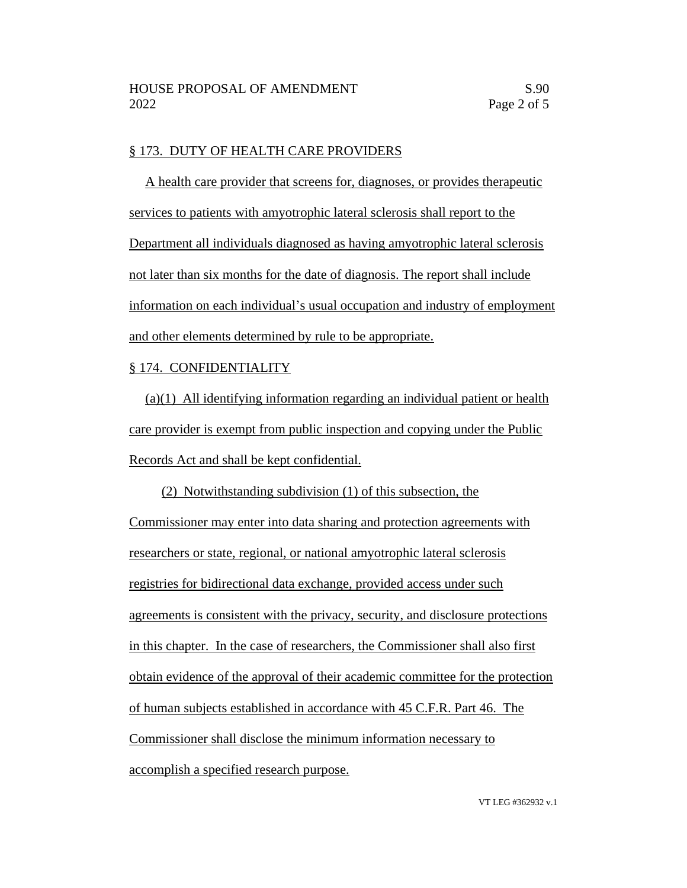#### § 173. DUTY OF HEALTH CARE PROVIDERS

A health care provider that screens for, diagnoses, or provides therapeutic services to patients with amyotrophic lateral sclerosis shall report to the Department all individuals diagnosed as having amyotrophic lateral sclerosis not later than six months for the date of diagnosis. The report shall include information on each individual's usual occupation and industry of employment and other elements determined by rule to be appropriate.

#### § 174. CONFIDENTIALITY

(a)(1) All identifying information regarding an individual patient or health care provider is exempt from public inspection and copying under the Public Records Act and shall be kept confidential.

(2) Notwithstanding subdivision (1) of this subsection, the Commissioner may enter into data sharing and protection agreements with researchers or state, regional, or national amyotrophic lateral sclerosis registries for bidirectional data exchange, provided access under such agreements is consistent with the privacy, security, and disclosure protections in this chapter. In the case of researchers, the Commissioner shall also first obtain evidence of the approval of their academic committee for the protection of human subjects established in accordance with 45 C.F.R. Part 46. The Commissioner shall disclose the minimum information necessary to accomplish a specified research purpose.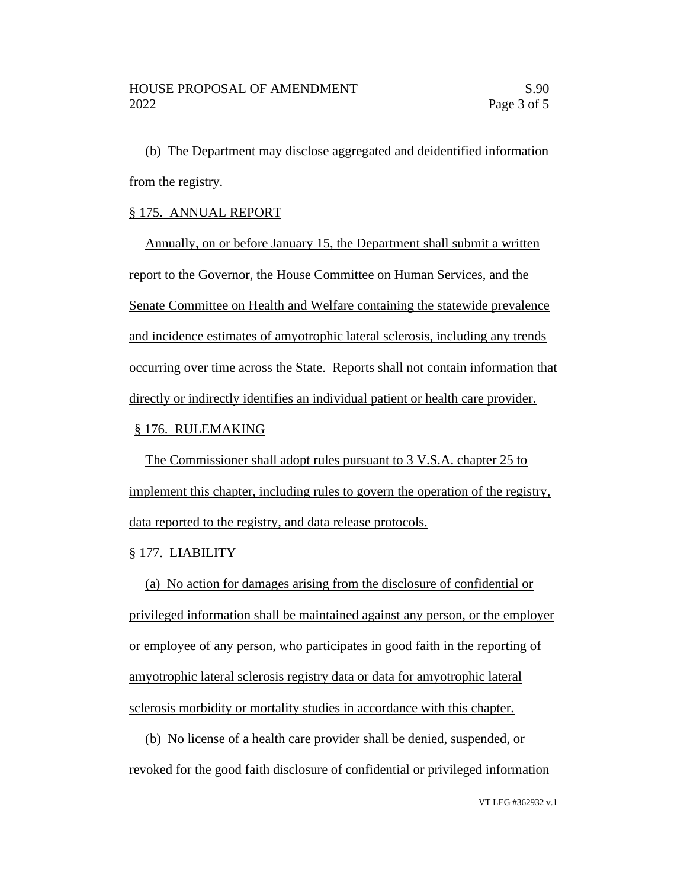(b) The Department may disclose aggregated and deidentified information from the registry.

### § 175. ANNUAL REPORT

Annually, on or before January 15, the Department shall submit a written report to the Governor, the House Committee on Human Services, and the Senate Committee on Health and Welfare containing the statewide prevalence and incidence estimates of amyotrophic lateral sclerosis, including any trends occurring over time across the State. Reports shall not contain information that directly or indirectly identifies an individual patient or health care provider.

#### § 176. RULEMAKING

The Commissioner shall adopt rules pursuant to 3 V.S.A. chapter 25 to implement this chapter, including rules to govern the operation of the registry, data reported to the registry, and data release protocols.

## § 177. LIABILITY

(a) No action for damages arising from the disclosure of confidential or privileged information shall be maintained against any person, or the employer or employee of any person, who participates in good faith in the reporting of amyotrophic lateral sclerosis registry data or data for amyotrophic lateral sclerosis morbidity or mortality studies in accordance with this chapter.

(b) No license of a health care provider shall be denied, suspended, or revoked for the good faith disclosure of confidential or privileged information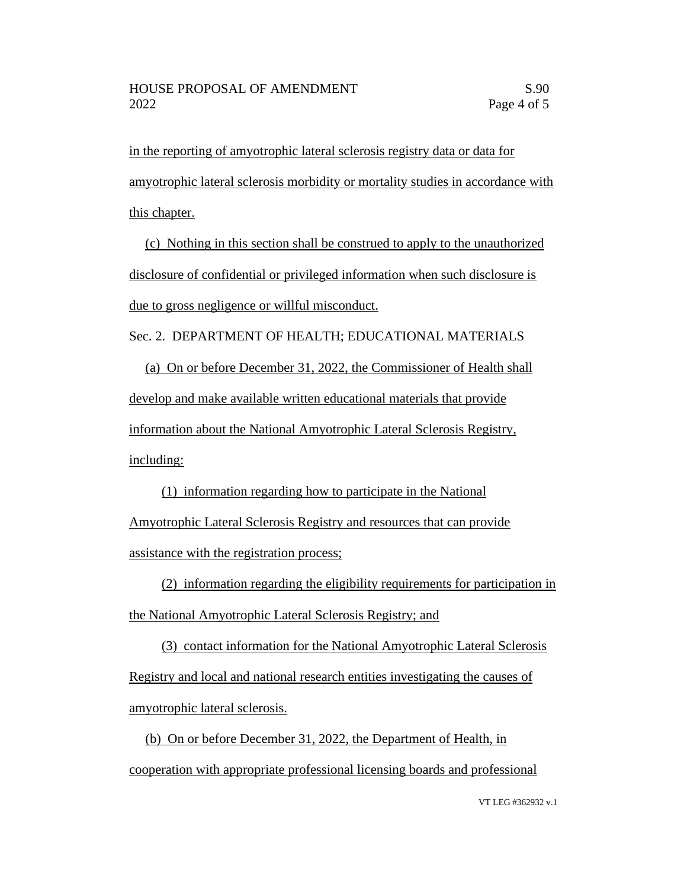in the reporting of amyotrophic lateral sclerosis registry data or data for amyotrophic lateral sclerosis morbidity or mortality studies in accordance with this chapter.

(c) Nothing in this section shall be construed to apply to the unauthorized disclosure of confidential or privileged information when such disclosure is due to gross negligence or willful misconduct.

Sec. 2. DEPARTMENT OF HEALTH; EDUCATIONAL MATERIALS

(a) On or before December 31, 2022, the Commissioner of Health shall develop and make available written educational materials that provide information about the National Amyotrophic Lateral Sclerosis Registry, including:

(1) information regarding how to participate in the National Amyotrophic Lateral Sclerosis Registry and resources that can provide assistance with the registration process;

(2) information regarding the eligibility requirements for participation in the National Amyotrophic Lateral Sclerosis Registry; and

(3) contact information for the National Amyotrophic Lateral Sclerosis Registry and local and national research entities investigating the causes of amyotrophic lateral sclerosis.

(b) On or before December 31, 2022, the Department of Health, in cooperation with appropriate professional licensing boards and professional